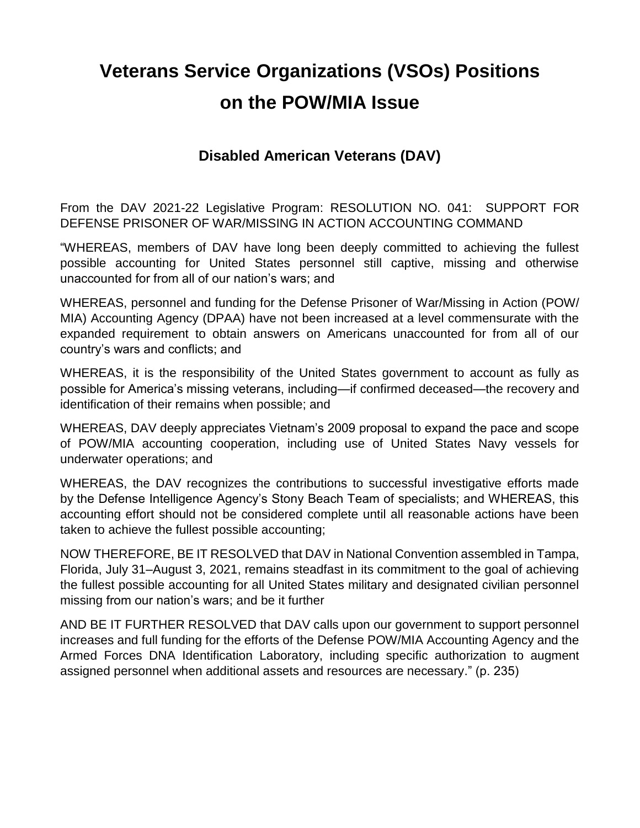# **Veterans Service Organizations (VSOs) Positions on the POW/MIA Issue**

#### **Disabled American Veterans (DAV)**

From the DAV 2021-22 Legislative Program: RESOLUTION NO. 041: SUPPORT FOR DEFENSE PRISONER OF WAR/MISSING IN ACTION ACCOUNTING COMMAND

"WHEREAS, members of DAV have long been deeply committed to achieving the fullest possible accounting for United States personnel still captive, missing and otherwise unaccounted for from all of our nation's wars; and

WHEREAS, personnel and funding for the Defense Prisoner of War/Missing in Action (POW/ MIA) Accounting Agency (DPAA) have not been increased at a level commensurate with the expanded requirement to obtain answers on Americans unaccounted for from all of our country's wars and conflicts; and

WHEREAS, it is the responsibility of the United States government to account as fully as possible for America's missing veterans, including—if confirmed deceased—the recovery and identification of their remains when possible; and

WHEREAS, DAV deeply appreciates Vietnam's 2009 proposal to expand the pace and scope of POW/MIA accounting cooperation, including use of United States Navy vessels for underwater operations; and

WHEREAS, the DAV recognizes the contributions to successful investigative efforts made by the Defense Intelligence Agency's Stony Beach Team of specialists; and WHEREAS, this accounting effort should not be considered complete until all reasonable actions have been taken to achieve the fullest possible accounting;

NOW THEREFORE, BE IT RESOLVED that DAV in National Convention assembled in Tampa, Florida, July 31–August 3, 2021, remains steadfast in its commitment to the goal of achieving the fullest possible accounting for all United States military and designated civilian personnel missing from our nation's wars; and be it further

AND BE IT FURTHER RESOLVED that DAV calls upon our government to support personnel increases and full funding for the efforts of the Defense POW/MIA Accounting Agency and the Armed Forces DNA Identification Laboratory, including specific authorization to augment assigned personnel when additional assets and resources are necessary." (p. 235)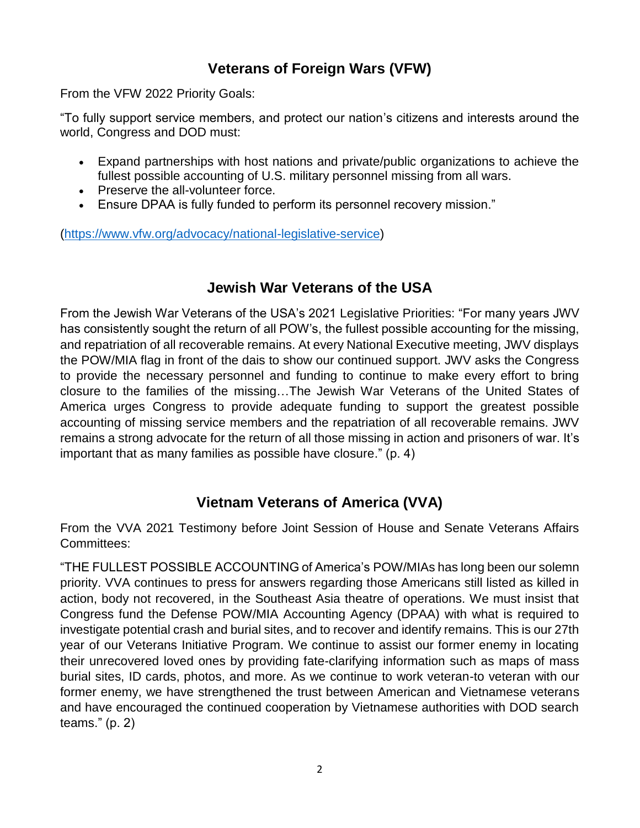# **Veterans of Foreign Wars (VFW)**

From the VFW 2022 Priority Goals:

"To fully support service members, and protect our nation's citizens and interests around the world, Congress and DOD must:

- Expand partnerships with host nations and private/public organizations to achieve the fullest possible accounting of U.S. military personnel missing from all wars.
- Preserve the all-volunteer force.
- Ensure DPAA is fully funded to perform its personnel recovery mission."

[\(https://www.vfw.org/advocacy/national-legislative-service\)](about:blank)

#### **Jewish War Veterans of the USA**

From the Jewish War Veterans of the USA's 2021 Legislative Priorities: "For many years JWV has consistently sought the return of all POW's, the fullest possible accounting for the missing, and repatriation of all recoverable remains. At every National Executive meeting, JWV displays the POW/MIA flag in front of the dais to show our continued support. JWV asks the Congress to provide the necessary personnel and funding to continue to make every effort to bring closure to the families of the missing…The Jewish War Veterans of the United States of America urges Congress to provide adequate funding to support the greatest possible accounting of missing service members and the repatriation of all recoverable remains. JWV remains a strong advocate for the return of all those missing in action and prisoners of war. It's important that as many families as possible have closure." (p. 4)

#### **Vietnam Veterans of America (VVA)**

From the VVA 2021 Testimony before Joint Session of House and Senate Veterans Affairs Committees:

"THE FULLEST POSSIBLE ACCOUNTING of America's POW/MIAs has long been our solemn priority. VVA continues to press for answers regarding those Americans still listed as killed in action, body not recovered, in the Southeast Asia theatre of operations. We must insist that Congress fund the Defense POW/MIA Accounting Agency (DPAA) with what is required to investigate potential crash and burial sites, and to recover and identify remains. This is our 27th year of our Veterans Initiative Program. We continue to assist our former enemy in locating their unrecovered loved ones by providing fate-clarifying information such as maps of mass burial sites, ID cards, photos, and more. As we continue to work veteran-to veteran with our former enemy, we have strengthened the trust between American and Vietnamese veterans and have encouraged the continued cooperation by Vietnamese authorities with DOD search teams." (p. 2)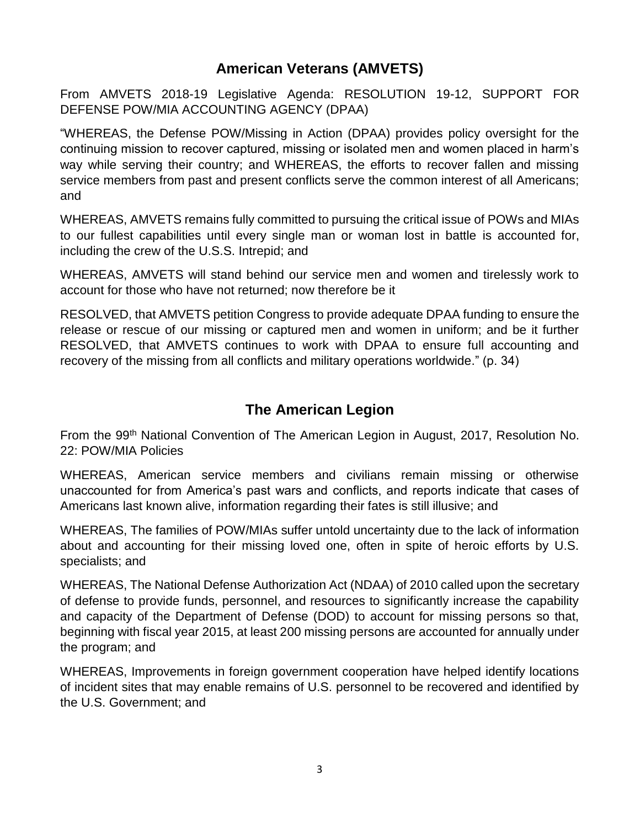### **American Veterans (AMVETS)**

From AMVETS 2018-19 Legislative Agenda: RESOLUTION 19-12, SUPPORT FOR DEFENSE POW/MIA ACCOUNTING AGENCY (DPAA)

"WHEREAS, the Defense POW/Missing in Action (DPAA) provides policy oversight for the continuing mission to recover captured, missing or isolated men and women placed in harm's way while serving their country; and WHEREAS, the efforts to recover fallen and missing service members from past and present conflicts serve the common interest of all Americans; and

WHEREAS, AMVETS remains fully committed to pursuing the critical issue of POWs and MIAs to our fullest capabilities until every single man or woman lost in battle is accounted for, including the crew of the U.S.S. Intrepid; and

WHEREAS, AMVETS will stand behind our service men and women and tirelessly work to account for those who have not returned; now therefore be it

RESOLVED, that AMVETS petition Congress to provide adequate DPAA funding to ensure the release or rescue of our missing or captured men and women in uniform; and be it further RESOLVED, that AMVETS continues to work with DPAA to ensure full accounting and recovery of the missing from all conflicts and military operations worldwide." (p. 34)

## **The American Legion**

From the 99th National Convention of The American Legion in August, 2017, Resolution No. 22: POW/MIA Policies

WHEREAS, American service members and civilians remain missing or otherwise unaccounted for from America's past wars and conflicts, and reports indicate that cases of Americans last known alive, information regarding their fates is still illusive; and

WHEREAS, The families of POW/MIAs suffer untold uncertainty due to the lack of information about and accounting for their missing loved one, often in spite of heroic efforts by U.S. specialists; and

WHEREAS, The National Defense Authorization Act (NDAA) of 2010 called upon the secretary of defense to provide funds, personnel, and resources to significantly increase the capability and capacity of the Department of Defense (DOD) to account for missing persons so that, beginning with fiscal year 2015, at least 200 missing persons are accounted for annually under the program; and

WHEREAS, Improvements in foreign government cooperation have helped identify locations of incident sites that may enable remains of U.S. personnel to be recovered and identified by the U.S. Government; and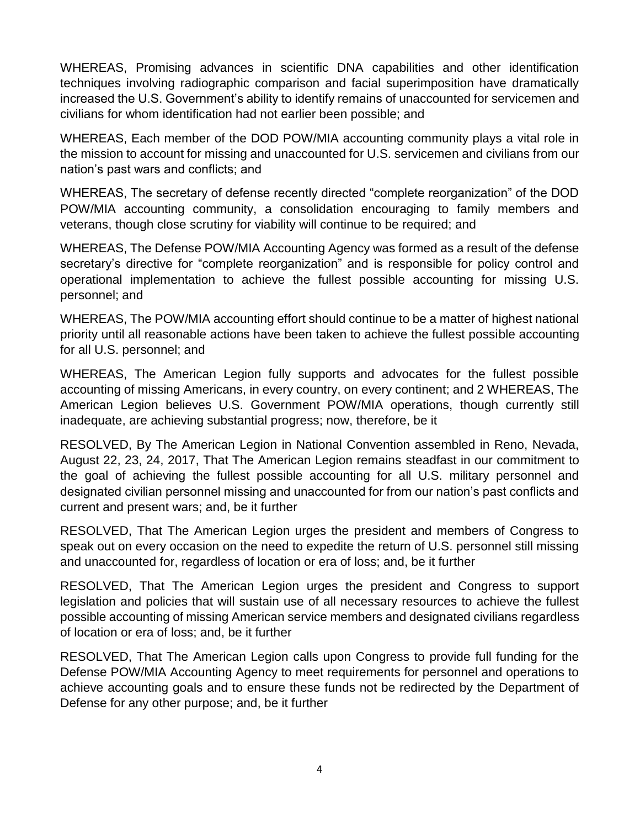WHEREAS, Promising advances in scientific DNA capabilities and other identification techniques involving radiographic comparison and facial superimposition have dramatically increased the U.S. Government's ability to identify remains of unaccounted for servicemen and civilians for whom identification had not earlier been possible; and

WHEREAS, Each member of the DOD POW/MIA accounting community plays a vital role in the mission to account for missing and unaccounted for U.S. servicemen and civilians from our nation's past wars and conflicts; and

WHEREAS, The secretary of defense recently directed "complete reorganization" of the DOD POW/MIA accounting community, a consolidation encouraging to family members and veterans, though close scrutiny for viability will continue to be required; and

WHEREAS, The Defense POW/MIA Accounting Agency was formed as a result of the defense secretary's directive for "complete reorganization" and is responsible for policy control and operational implementation to achieve the fullest possible accounting for missing U.S. personnel; and

WHEREAS, The POW/MIA accounting effort should continue to be a matter of highest national priority until all reasonable actions have been taken to achieve the fullest possible accounting for all U.S. personnel; and

WHEREAS, The American Legion fully supports and advocates for the fullest possible accounting of missing Americans, in every country, on every continent; and 2 WHEREAS, The American Legion believes U.S. Government POW/MIA operations, though currently still inadequate, are achieving substantial progress; now, therefore, be it

RESOLVED, By The American Legion in National Convention assembled in Reno, Nevada, August 22, 23, 24, 2017, That The American Legion remains steadfast in our commitment to the goal of achieving the fullest possible accounting for all U.S. military personnel and designated civilian personnel missing and unaccounted for from our nation's past conflicts and current and present wars; and, be it further

RESOLVED, That The American Legion urges the president and members of Congress to speak out on every occasion on the need to expedite the return of U.S. personnel still missing and unaccounted for, regardless of location or era of loss; and, be it further

RESOLVED, That The American Legion urges the president and Congress to support legislation and policies that will sustain use of all necessary resources to achieve the fullest possible accounting of missing American service members and designated civilians regardless of location or era of loss; and, be it further

RESOLVED, That The American Legion calls upon Congress to provide full funding for the Defense POW/MIA Accounting Agency to meet requirements for personnel and operations to achieve accounting goals and to ensure these funds not be redirected by the Department of Defense for any other purpose; and, be it further